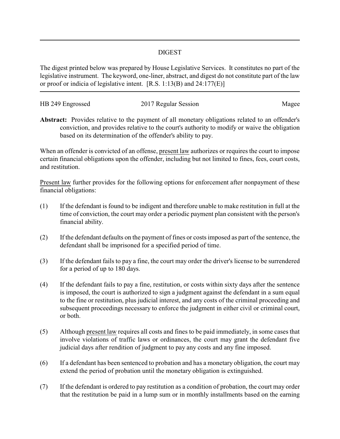## DIGEST

The digest printed below was prepared by House Legislative Services. It constitutes no part of the legislative instrument. The keyword, one-liner, abstract, and digest do not constitute part of the law or proof or indicia of legislative intent. [R.S. 1:13(B) and 24:177(E)]

| HB 249 Engrossed | 2017 Regular Session | Magee |
|------------------|----------------------|-------|

**Abstract:** Provides relative to the payment of all monetary obligations related to an offender's conviction, and provides relative to the court's authority to modify or waive the obligation based on its determination of the offender's ability to pay.

When an offender is convicted of an offense, present law authorizes or requires the court to impose certain financial obligations upon the offender, including but not limited to fines, fees, court costs, and restitution.

Present law further provides for the following options for enforcement after nonpayment of these financial obligations:

- (1) If the defendant is found to be indigent and therefore unable to make restitution in full at the time of conviction, the court may order a periodic payment plan consistent with the person's financial ability.
- (2) If the defendant defaults on the payment of fines or costs imposed as part of the sentence, the defendant shall be imprisoned for a specified period of time.
- (3) If the defendant fails to pay a fine, the court may order the driver's license to be surrendered for a period of up to 180 days.
- (4) If the defendant fails to pay a fine, restitution, or costs within sixty days after the sentence is imposed, the court is authorized to sign a judgment against the defendant in a sum equal to the fine or restitution, plus judicial interest, and any costs of the criminal proceeding and subsequent proceedings necessary to enforce the judgment in either civil or criminal court, or both.
- (5) Although present law requires all costs and fines to be paid immediately, in some cases that involve violations of traffic laws or ordinances, the court may grant the defendant five judicial days after rendition of judgment to pay any costs and any fine imposed.
- (6) If a defendant has been sentenced to probation and has a monetary obligation, the court may extend the period of probation until the monetary obligation is extinguished.
- (7) If the defendant is ordered to pay restitution as a condition of probation, the court may order that the restitution be paid in a lump sum or in monthly installments based on the earning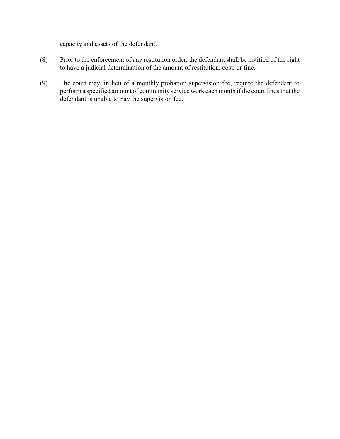capacity and assets of the defendant.

- (8) Prior to the enforcement of any restitution order, the defendant shall be notified of the right to have a judicial determination of the amount of restitution, cost, or fine.
- (9) The court may, in lieu of a monthly probation supervision fee, require the defendant to perform a specified amount of community service work each month if the court finds that the defendant is unable to pay the supervision fee.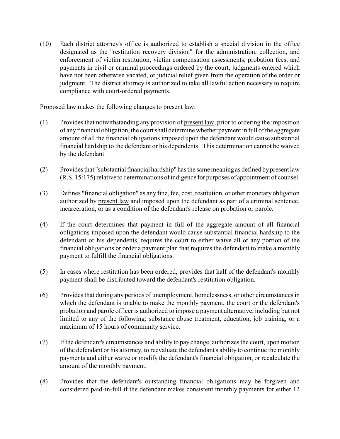(10) Each district attorney's office is authorized to establish a special division in the office designated as the "restitution recovery division" for the administration, collection, and enforcement of victim restitution, victim compensation assessments, probation fees, and payments in civil or criminal proceedings ordered by the court, judgments entered which have not been otherwise vacated, or judicial relief given from the operation of the order or judgment. The district attorney is authorized to take all lawful action necessary to require compliance with court-ordered payments.

Proposed law makes the following changes to present law:

- (1) Provides that notwithstanding any provision of present law, prior to ordering the imposition of anyfinancial obligation, the court shall determine whether payment in full of the aggregate amount of all the financial obligations imposed upon the defendant would cause substantial financial hardship to the defendant or his dependents. This determination cannot be waived by the defendant.
- (2) Provides that "substantial financial hardship" has the same meaning as defined by present law (R.S. 15:175) relative to determinations of indigence for purposes of appointment of counsel.
- (3) Defines "financial obligation" as any fine, fee, cost, restitution, or other monetary obligation authorized by present law and imposed upon the defendant as part of a criminal sentence, incarceration, or as a condition of the defendant's release on probation or parole.
- (4) If the court determines that payment in full of the aggregate amount of all financial obligations imposed upon the defendant would cause substantial financial hardship to the defendant or his dependents, requires the court to either waive all or any portion of the financial obligations or order a payment plan that requires the defendant to make a monthly payment to fulfill the financial obligations.
- (5) In cases where restitution has been ordered, provides that half of the defendant's monthly payment shall be distributed toward the defendant's restitution obligation.
- (6) Provides that during any periods of unemployment, homelessness, or other circumstances in which the defendant is unable to make the monthly payment, the court or the defendant's probation and parole officer is authorized to impose a payment alternative, including but not limited to any of the following: substance abuse treatment, education, job training, or a maximum of 15 hours of community service.
- (7) If the defendant's circumstances and ability to pay change, authorizes the court, upon motion of the defendant or his attorney, to reevaluate the defendant's ability to continue the monthly payments and either waive or modify the defendant's financial obligation, or recalculate the amount of the monthly payment.
- (8) Provides that the defendant's outstanding financial obligations may be forgiven and considered paid-in-full if the defendant makes consistent monthly payments for either 12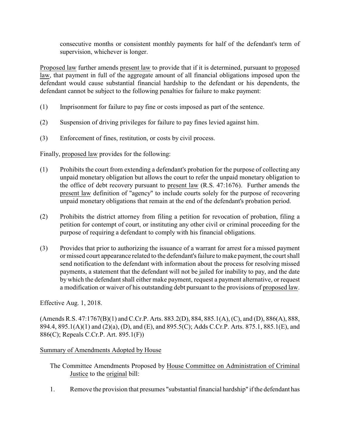consecutive months or consistent monthly payments for half of the defendant's term of supervision, whichever is longer.

Proposed law further amends present law to provide that if it is determined, pursuant to proposed law, that payment in full of the aggregate amount of all financial obligations imposed upon the defendant would cause substantial financial hardship to the defendant or his dependents, the defendant cannot be subject to the following penalties for failure to make payment:

- (1) Imprisonment for failure to pay fine or costs imposed as part of the sentence.
- (2) Suspension of driving privileges for failure to pay fines levied against him.
- (3) Enforcement of fines, restitution, or costs by civil process.

Finally, proposed law provides for the following:

- (1) Prohibits the court from extending a defendant's probation for the purpose of collecting any unpaid monetary obligation but allows the court to refer the unpaid monetary obligation to the office of debt recovery pursuant to present law (R.S. 47:1676). Further amends the present law definition of "agency" to include courts solely for the purpose of recovering unpaid monetary obligations that remain at the end of the defendant's probation period.
- (2) Prohibits the district attorney from filing a petition for revocation of probation, filing a petition for contempt of court, or instituting any other civil or criminal proceeding for the purpose of requiring a defendant to comply with his financial obligations.
- (3) Provides that prior to authorizing the issuance of a warrant for arrest for a missed payment or missed court appearance related to the defendant's failure to make payment, the court shall send notification to the defendant with information about the process for resolving missed payments, a statement that the defendant will not be jailed for inability to pay, and the date by which the defendant shall either make payment, request a payment alternative, or request a modification or waiver of his outstanding debt pursuant to the provisions of proposed law.

Effective Aug. 1, 2018.

(Amends R.S. 47:1767(B)(1) and C.Cr.P. Arts. 883.2(D), 884, 885.1(A), (C), and (D), 886(A), 888, 894.4, 895.1(A)(1) and (2)(a), (D), and (E), and 895.5(C); Adds C.Cr.P. Arts. 875.1, 885.1(E), and 886(C); Repeals C.Cr.P. Art. 895.1(F))

## Summary of Amendments Adopted by House

- The Committee Amendments Proposed by House Committee on Administration of Criminal Justice to the original bill:
- 1. Remove the provision that presumes "substantial financial hardship" if the defendant has